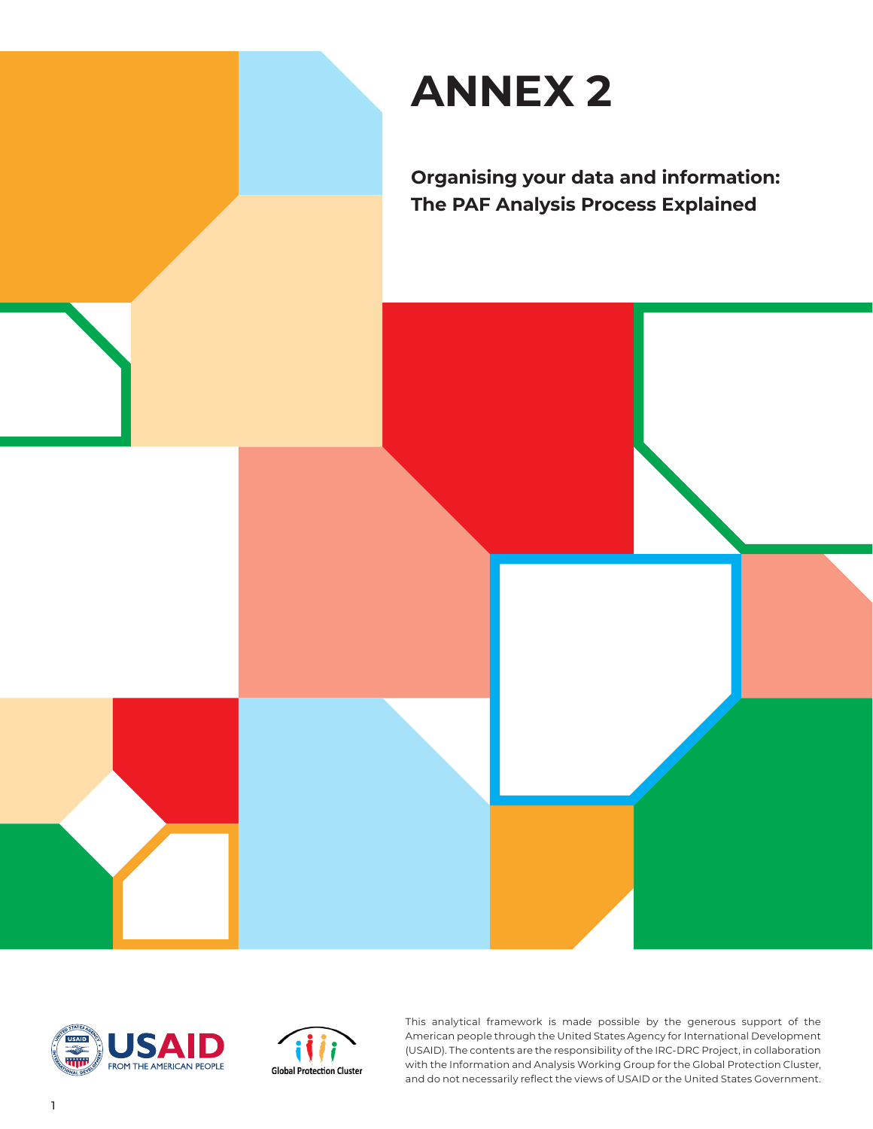





This analytical framework is made possible by the generous support of the American people through the United States Agency for International Development (USAID). The contents are the responsibility of the IRC-DRC Project, in collaboration with the Information and Analysis Working Group for the Global Protection Cluster, and do not necessarily reflect the views of USAID or the United States Government.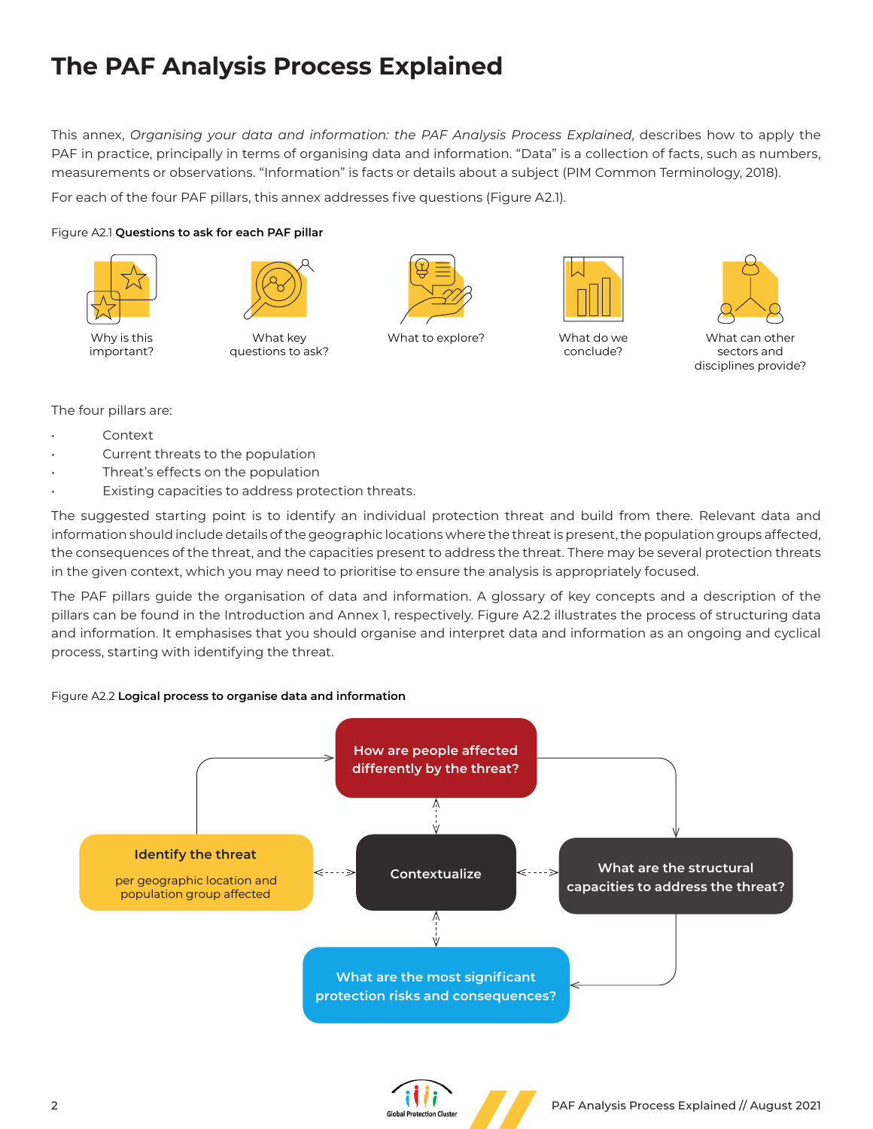# **The PAF Analysis Process Explained**

This annex, *Organising your data and information: the PAF Analysis Process Explained*, describes how to apply the PAF in practice, principally in terms of organising data and information. "Data" is a collection of facts, such as numbers, measurements or observations. "Information" is facts or details about a subject (PIM Common Terminology, 2018).

For each of the four PAF pillars, this annex addresses five questions (Figure A2.1).

### Figure A2.1 **Questions to ask for each PAF pillar**



Why is this important?



What key questions to ask?



What to explore? What do we



conclude?



What can other sectors and disciplines provide?

The four pillars are:

- Context
- Current threats to the population
- Threat's effects on the population
- Existing capacities to address protection threats.

The suggested starting point is to identify an individual protection threat and build from there. Relevant data and information should include details of the geographic locations where the threat is present, the population groups affected, the consequences of the threat, and the capacities present to address the threat. There may be several protection threats in the given context, which you may need to prioritise to ensure the analysis is appropriately focused.

The PAF pillars guide the organisation of data and information. A glossary of key concepts and a description of the pillars can be found in the Introduction and Annex 1, respectively. Figure A2.2 illustrates the process of structuring data and information. It emphasises that you should organise and interpret data and information as an ongoing and cyclical process, starting with identifying the threat.

### Figure A2.2 **Logical process to organise data and information**



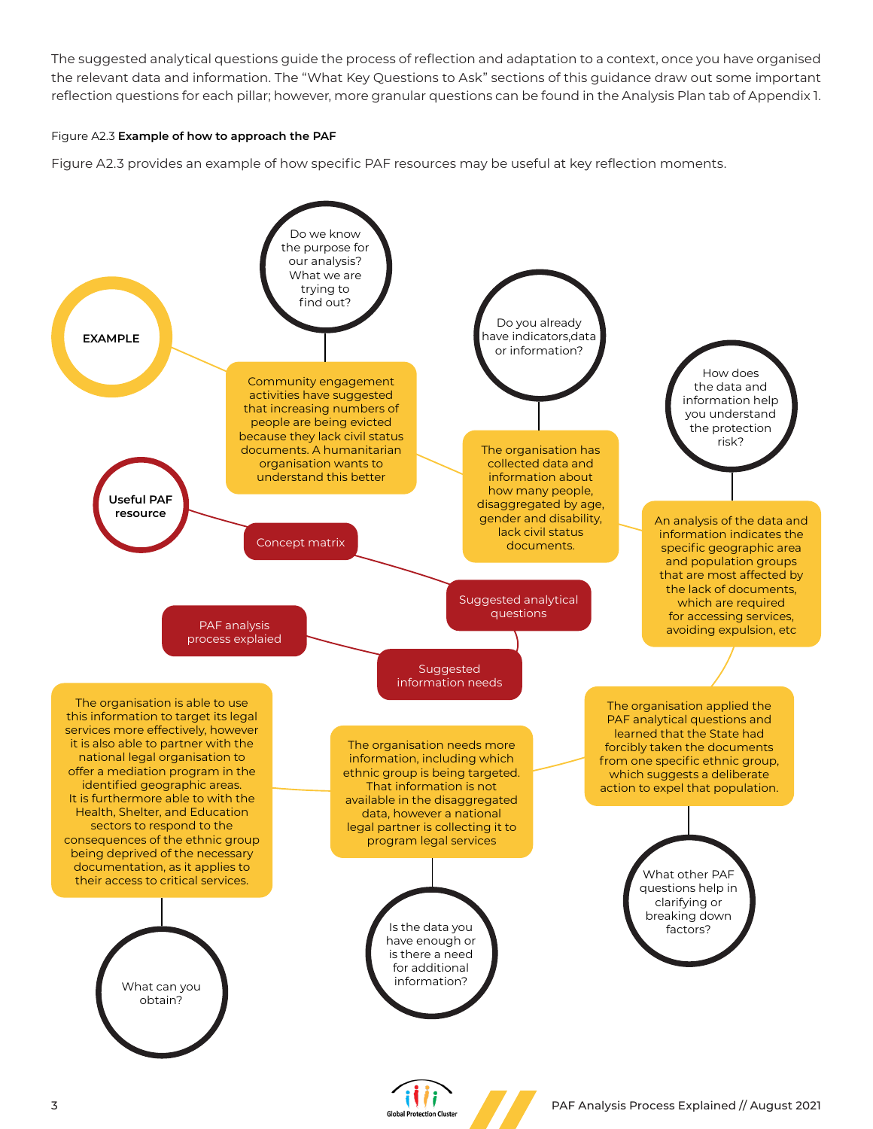The suggested analytical questions guide the process of reflection and adaptation to a context, once you have organised the relevant data and information. The "What Key Questions to Ask" sections of this guidance draw out some important reflection questions for each pillar; however, more granular questions can be found in the Analysis Plan tab of Appendix 1.

#### Figure A2.3 **Example of how to approach the PAF**

Figure A2.3 provides an example of how specific PAF resources may be useful at key reflection moments.

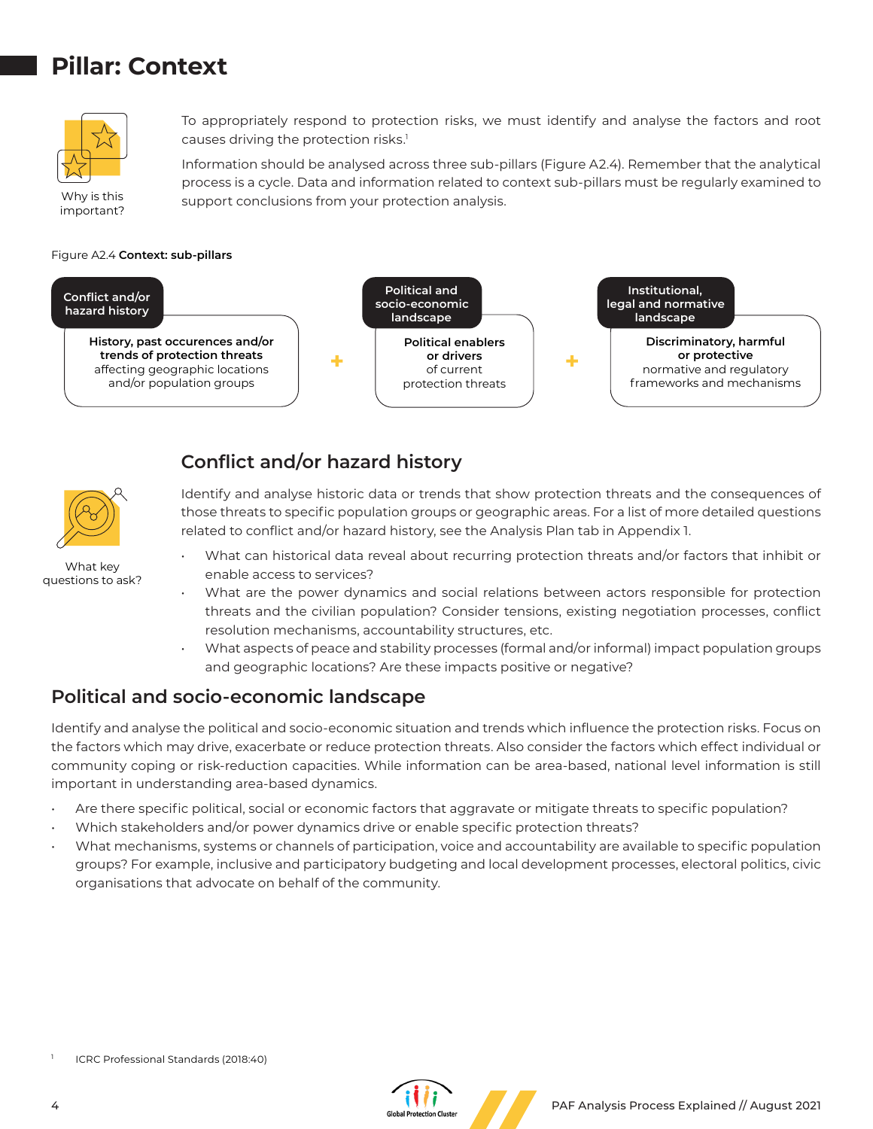# **Pillar: Context**



Why is this important? To appropriately respond to protection risks, we must identify and analyse the factors and root causes driving the protection risks.<sup>1</sup>

Information should be analysed across three sub-pillars (Figure A2.4). Remember that the analytical process is a cycle. Data and information related to context sub-pillars must be regularly examined to support conclusions from your protection analysis.

#### Figure A2.4 **Context: sub-pillars**



## **Conflict and/or hazard history**



What key questions to ask?

- Identify and analyse historic data or trends that show protection threats and the consequences of those threats to specific population groups or geographic areas. For a list of more detailed questions related to conflict and/or hazard history, see the Analysis Plan tab in Appendix 1.
	- What can historical data reveal about recurring protection threats and/or factors that inhibit or enable access to services?
	- What are the power dynamics and social relations between actors responsible for protection threats and the civilian population? Consider tensions, existing negotiation processes, conflict resolution mechanisms, accountability structures, etc.
- What aspects of peace and stability processes (formal and/or informal) impact population groups and geographic locations? Are these impacts positive or negative?

## **Political and socio-economic landscape**

Identify and analyse the political and socio-economic situation and trends which influence the protection risks. Focus on the factors which may drive, exacerbate or reduce protection threats. Also consider the factors which effect individual or community coping or risk-reduction capacities. While information can be area-based, national level information is still important in understanding area-based dynamics.

- Are there specific political, social or economic factors that aggravate or mitigate threats to specific population?
- Which stakeholders and/or power dynamics drive or enable specific protection threats?
- What mechanisms, systems or channels of participation, voice and accountability are available to specific population groups? For example, inclusive and participatory budgeting and local development processes, electoral politics, civic organisations that advocate on behalf of the community.

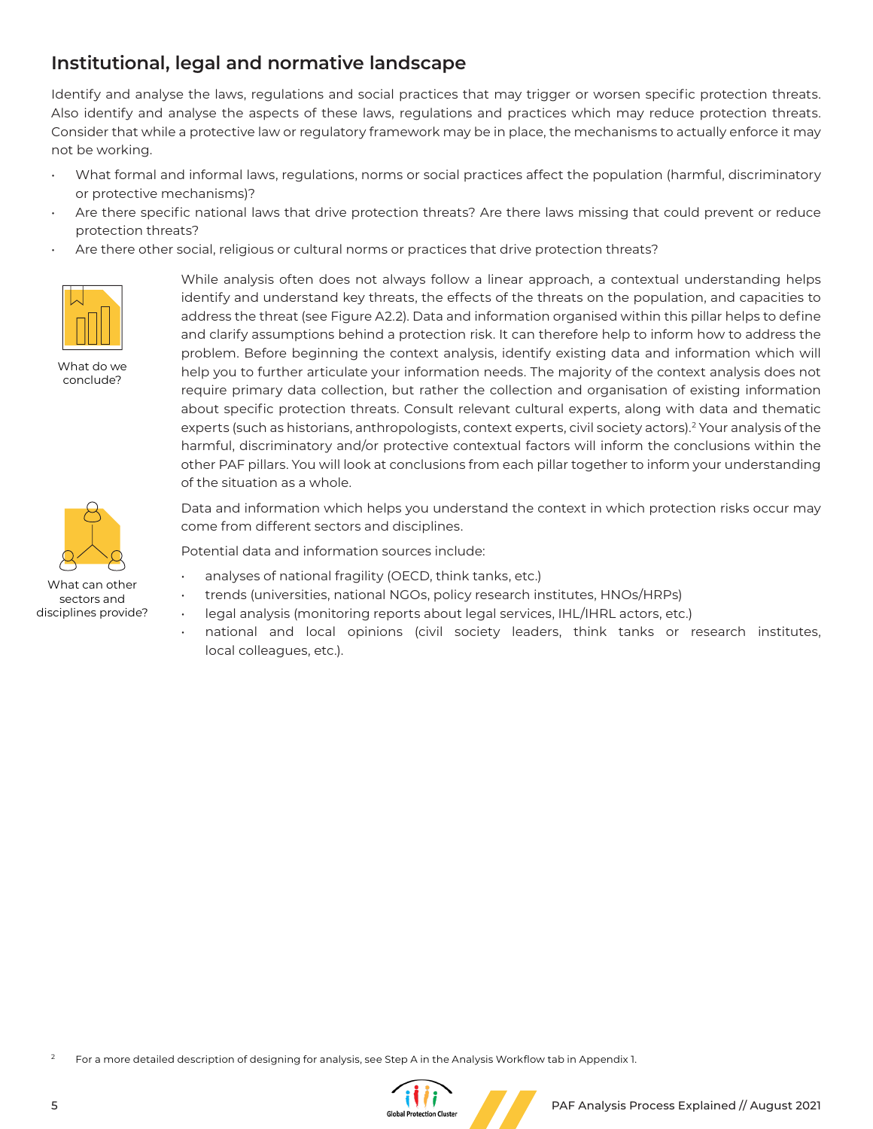## **Institutional, legal and normative landscape**

Identify and analyse the laws, regulations and social practices that may trigger or worsen specific protection threats. Also identify and analyse the aspects of these laws, regulations and practices which may reduce protection threats. Consider that while a protective law or regulatory framework may be in place, the mechanisms to actually enforce it may not be working.

- What formal and informal laws, regulations, norms or social practices affect the population (harmful, discriminatory or protective mechanisms)?
- Are there specific national laws that drive protection threats? Are there laws missing that could prevent or reduce protection threats?
- Are there other social, religious or cultural norms or practices that drive protection threats?



What do we conclude?



disciplines provide?

While analysis often does not always follow a linear approach, a contextual understanding helps identify and understand key threats, the effects of the threats on the population, and capacities to address the threat (see Figure A2.2). Data and information organised within this pillar helps to define and clarify assumptions behind a protection risk. It can therefore help to inform how to address the problem. Before beginning the context analysis, identify existing data and information which will help you to further articulate your information needs. The majority of the context analysis does not require primary data collection, but rather the collection and organisation of existing information about specific protection threats. Consult relevant cultural experts, along with data and thematic experts (such as historians, anthropologists, context experts, civil society actors).<sup>2</sup> Your analysis of the harmful, discriminatory and/or protective contextual factors will inform the conclusions within the other PAF pillars. You will look at conclusions from each pillar together to inform your understanding of the situation as a whole.

Data and information which helps you understand the context in which protection risks occur may come from different sectors and disciplines.

Potential data and information sources include:

- analyses of national fragility (OECD, think tanks, etc.)
- trends (universities, national NGOs, policy research institutes, HNOs/HRPs)
- legal analysis (monitoring reports about legal services, IHL/IHRL actors, etc.)
- national and local opinions (civil society leaders, think tanks or research institutes, local colleagues, etc.).

For a more detailed description of designing for analysis, see Step A in the Analysis Workflow tab in Appendix 1.

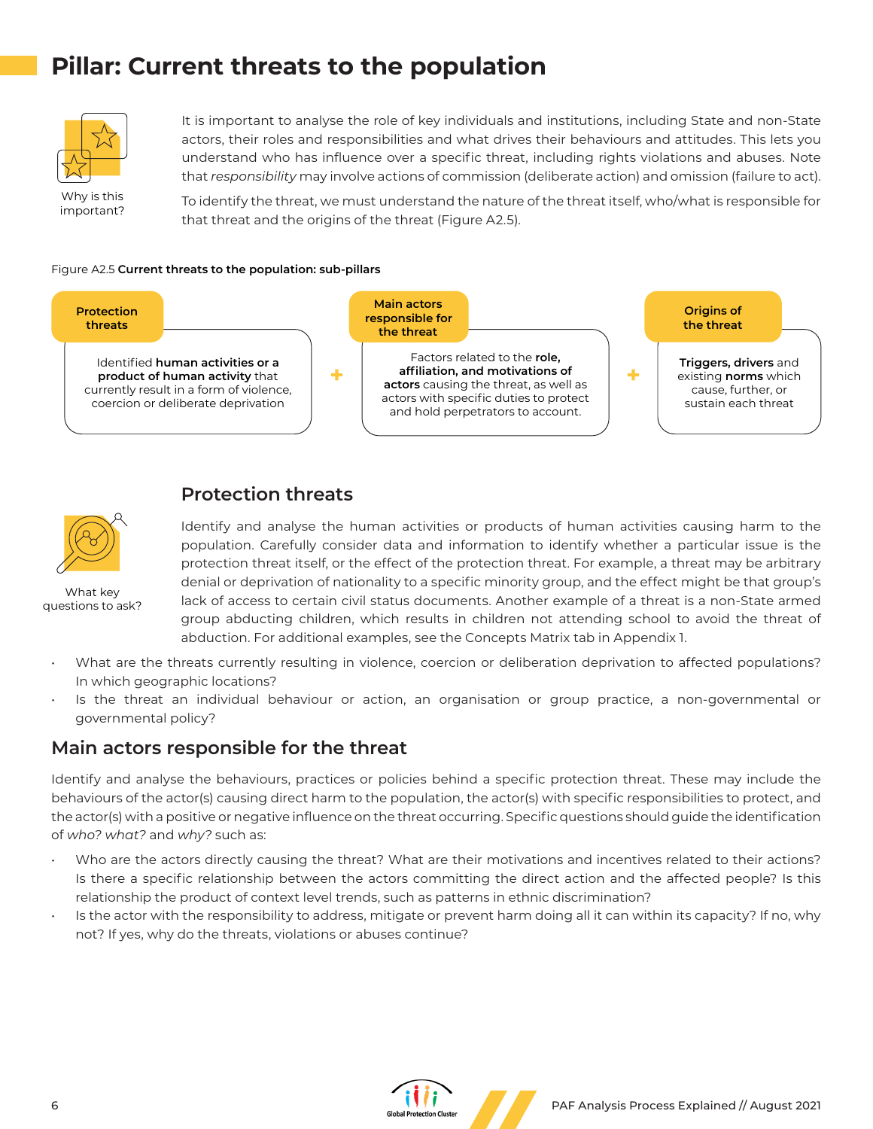# **Pillar: Current threats to the population**



It is important to analyse the role of key individuals and institutions, including State and non-State actors, their roles and responsibilities and what drives their behaviours and attitudes. This lets you understand who has influence over a specific threat, including rights violations and abuses. Note that *responsibility* may involve actions of commission (deliberate action) and omission (failure to act).

Why is this important?

To identify the threat, we must understand the nature of the threat itself, who/what is responsible for that threat and the origins of the threat (Figure A2.5).

#### Figure A2.5 **Current threats to the population: sub-pillars**



## **Protection threats**



What key questions to ask?

Identify and analyse the human activities or products of human activities causing harm to the population. Carefully consider data and information to identify whether a particular issue is the protection threat itself, or the effect of the protection threat. For example, a threat may be arbitrary denial or deprivation of nationality to a specific minority group, and the effect might be that group's lack of access to certain civil status documents. Another example of a threat is a non-State armed group abducting children, which results in children not attending school to avoid the threat of abduction. For additional examples, see the Concepts Matrix tab in Appendix 1.

- What are the threats currently resulting in violence, coercion or deliberation deprivation to affected populations? In which geographic locations?
- Is the threat an individual behaviour or action, an organisation or group practice, a non-governmental or governmental policy?

## **Main actors responsible for the threat**

Identify and analyse the behaviours, practices or policies behind a specific protection threat. These may include the behaviours of the actor(s) causing direct harm to the population, the actor(s) with specific responsibilities to protect, and the actor(s) with a positive or negative influence on the threat occurring. Specific questions should guide the identification of *who? what?* and *why?* such as:

- Who are the actors directly causing the threat? What are their motivations and incentives related to their actions? Is there a specific relationship between the actors committing the direct action and the affected people? Is this relationship the product of context level trends, such as patterns in ethnic discrimination?
- Is the actor with the responsibility to address, mitigate or prevent harm doing all it can within its capacity? If no, why not? If yes, why do the threats, violations or abuses continue?

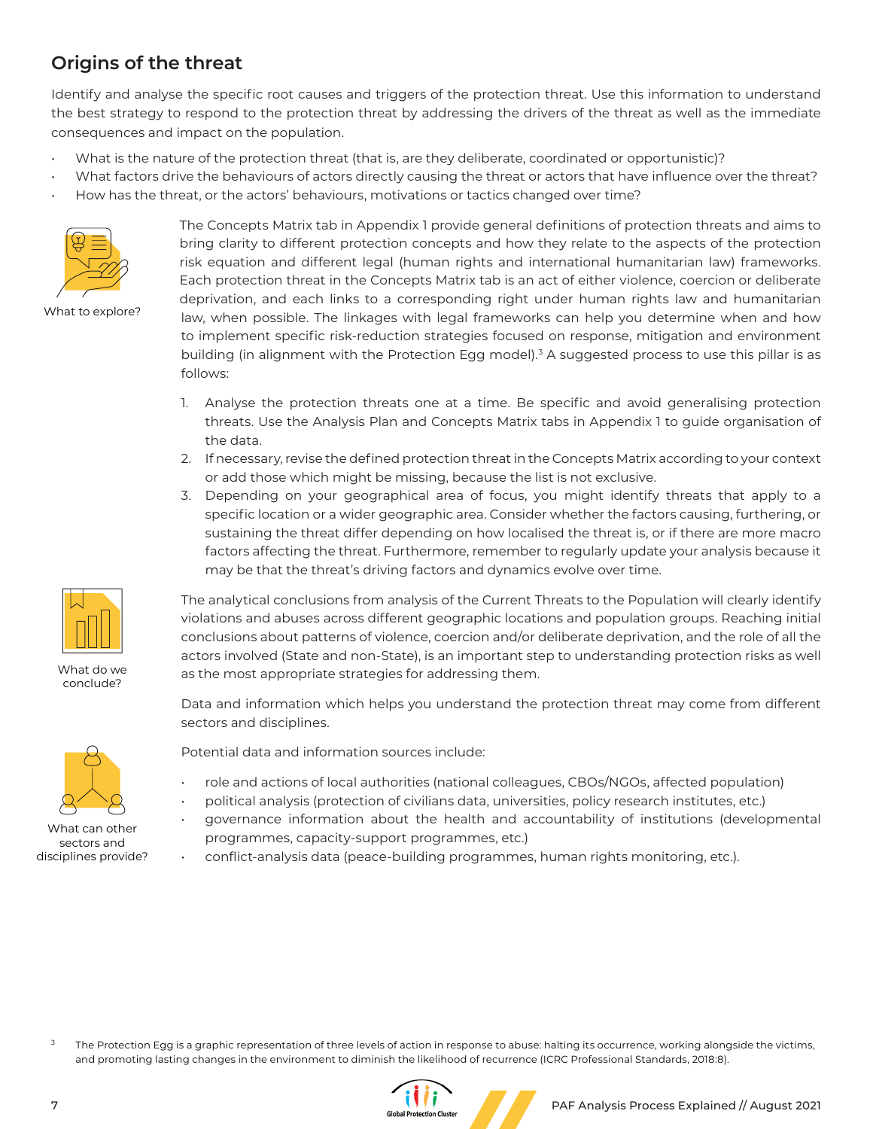## **Origins of the threat**

Identify and analyse the specific root causes and triggers of the protection threat. Use this information to understand the best strategy to respond to the protection threat by addressing the drivers of the threat as well as the immediate consequences and impact on the population.

• What is the nature of the protection threat (that is, are they deliberate, coordinated or opportunistic)?

What factors drive the behaviours of actors directly causing the threat or actors that have influence over the threat? • How has the threat, or the actors' behaviours, motivations or tactics changed over time?



What to explore?

The Concepts Matrix tab in Appendix 1 provide general definitions of protection threats and aims to bring clarity to different protection concepts and how they relate to the aspects of the protection risk equation and different legal (human rights and international humanitarian law) frameworks. Each protection threat in the Concepts Matrix tab is an act of either violence, coercion or deliberate deprivation, and each links to a corresponding right under human rights law and humanitarian law, when possible. The linkages with legal frameworks can help you determine when and how to implement specific risk-reduction strategies focused on response, mitigation and environment building (in alignment with the Protection Egg model).<sup>3</sup> A suggested process to use this pillar is as follows:

- 1. Analyse the protection threats one at a time. Be specific and avoid generalising protection threats. Use the Analysis Plan and Concepts Matrix tabs in Appendix 1 to guide organisation of the data.
- 2. If necessary, revise the defined protection threat in the Concepts Matrix according to your context or add those which might be missing, because the list is not exclusive.
- 3. Depending on your geographical area of focus, you might identify threats that apply to a specific location or a wider geographic area. Consider whether the factors causing, furthering, or sustaining the threat differ depending on how localised the threat is, or if there are more macro factors affecting the threat. Furthermore, remember to regularly update your analysis because it may be that the threat's driving factors and dynamics evolve over time.

The analytical conclusions from analysis of the Current Threats to the Population will clearly identify violations and abuses across different geographic locations and population groups. Reaching initial conclusions about patterns of violence, coercion and/or deliberate deprivation, and the role of all the actors involved (State and non-State), is an important step to understanding protection risks as well as the most appropriate strategies for addressing them.

Data and information which helps you understand the protection threat may come from different sectors and disciplines.



What do we conclude?

What can other sectors and disciplines provide?

Potential data and information sources include:

- role and actions of local authorities (national colleagues, CBOs/NGOs, affected population)
- political analysis (protection of civilians data, universities, policy research institutes, etc.)
- governance information about the health and accountability of institutions (developmental programmes, capacity-support programmes, etc.)
- conflict-analysis data (peace-building programmes, human rights monitoring, etc.).

The Protection Egg is a graphic representation of three levels of action in response to abuse: halting its occurrence, working alongside the victims, and promoting lasting changes in the environment to diminish the likelihood of recurrence (ICRC Professional Standards, 2018:8).

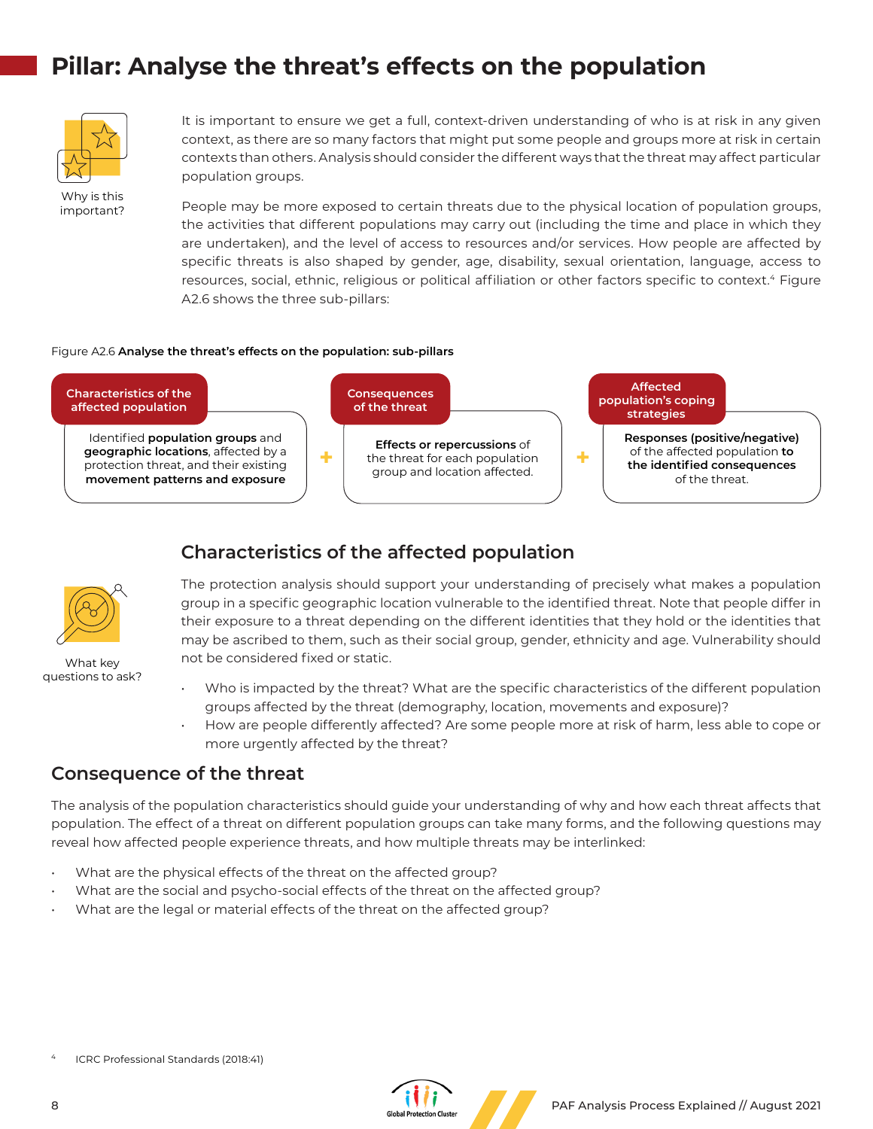# **Pillar: Analyse the threat's effects on the population**



Why is this important? It is important to ensure we get a full, context-driven understanding of who is at risk in any given context, as there are so many factors that might put some people and groups more at risk in certain contexts than others. Analysis should consider the different ways that the threat may affect particular population groups.

People may be more exposed to certain threats due to the physical location of population groups, the activities that different populations may carry out (including the time and place in which they are undertaken), and the level of access to resources and/or services. How people are affected by specific threats is also shaped by gender, age, disability, sexual orientation, language, access to resources, social, ethnic, religious or political affiliation or other factors specific to context.4 Figure A2.6 shows the three sub-pillars:

#### Figure A2.6 **Analyse the threat's effects on the population: sub-pillars**



## **Characteristics of the affected population**



What key questions to ask?

The protection analysis should support your understanding of precisely what makes a population group in a specific geographic location vulnerable to the identified threat. Note that people differ in their exposure to a threat depending on the different identities that they hold or the identities that may be ascribed to them, such as their social group, gender, ethnicity and age. Vulnerability should not be considered fixed or static.

- Who is impacted by the threat? What are the specific characteristics of the different population groups affected by the threat (demography, location, movements and exposure)?
- How are people differently affected? Are some people more at risk of harm, less able to cope or more urgently affected by the threat?

### **Consequence of the threat**

The analysis of the population characteristics should guide your understanding of why and how each threat affects that population. The effect of a threat on different population groups can take many forms, and the following questions may reveal how affected people experience threats, and how multiple threats may be interlinked:

- What are the physical effects of the threat on the affected group?
- What are the social and psycho-social effects of the threat on the affected group?
- What are the legal or material effects of the threat on the affected group?

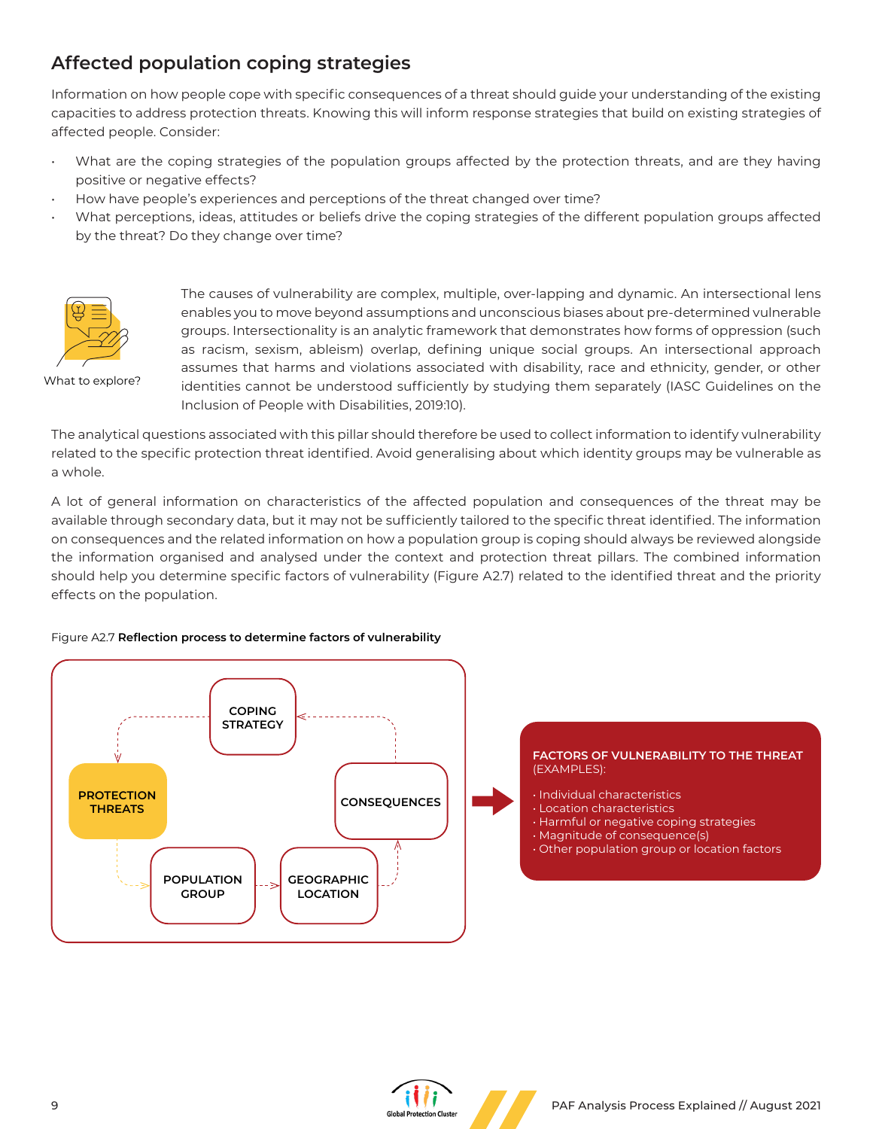## **Affected population coping strategies**

Information on how people cope with specific consequences of a threat should guide your understanding of the existing capacities to address protection threats. Knowing this will inform response strategies that build on existing strategies of affected people. Consider:

- What are the coping strategies of the population groups affected by the protection threats, and are they having positive or negative effects?
- How have people's experiences and perceptions of the threat changed over time?
- What perceptions, ideas, attitudes or beliefs drive the coping strategies of the different population groups affected by the threat? Do they change over time?



What to explore?

The causes of vulnerability are complex, multiple, over-lapping and dynamic. An intersectional lens enables you to move beyond assumptions and unconscious biases about pre-determined vulnerable groups. Intersectionality is an analytic framework that demonstrates how forms of oppression (such as racism, sexism, ableism) overlap, defining unique social groups. An intersectional approach assumes that harms and violations associated with disability, race and ethnicity, gender, or other identities cannot be understood sufficiently by studying them separately (IASC Guidelines on the Inclusion of People with Disabilities, 2019:10).

The analytical questions associated with this pillar should therefore be used to collect information to identify vulnerability related to the specific protection threat identified. Avoid generalising about which identity groups may be vulnerable as a whole.

A lot of general information on characteristics of the affected population and consequences of the threat may be available through secondary data, but it may not be sufficiently tailored to the specific threat identified. The information on consequences and the related information on how a population group is coping should always be reviewed alongside the information organised and analysed under the context and protection threat pillars. The combined information should help you determine specific factors of vulnerability (Figure A2.7) related to the identified threat and the priority effects on the population.

### Figure A2.7 **Reflection process to determine factors of vulnerability**



#### **FACTORS OF VULNERABILITY TO THE THREAT** (EXAMPLES):

- Individual characteristics
- Location characteristics
- Harmful or negative coping strategies
- Magnitude of consequence(s)
- Other population group or location factors

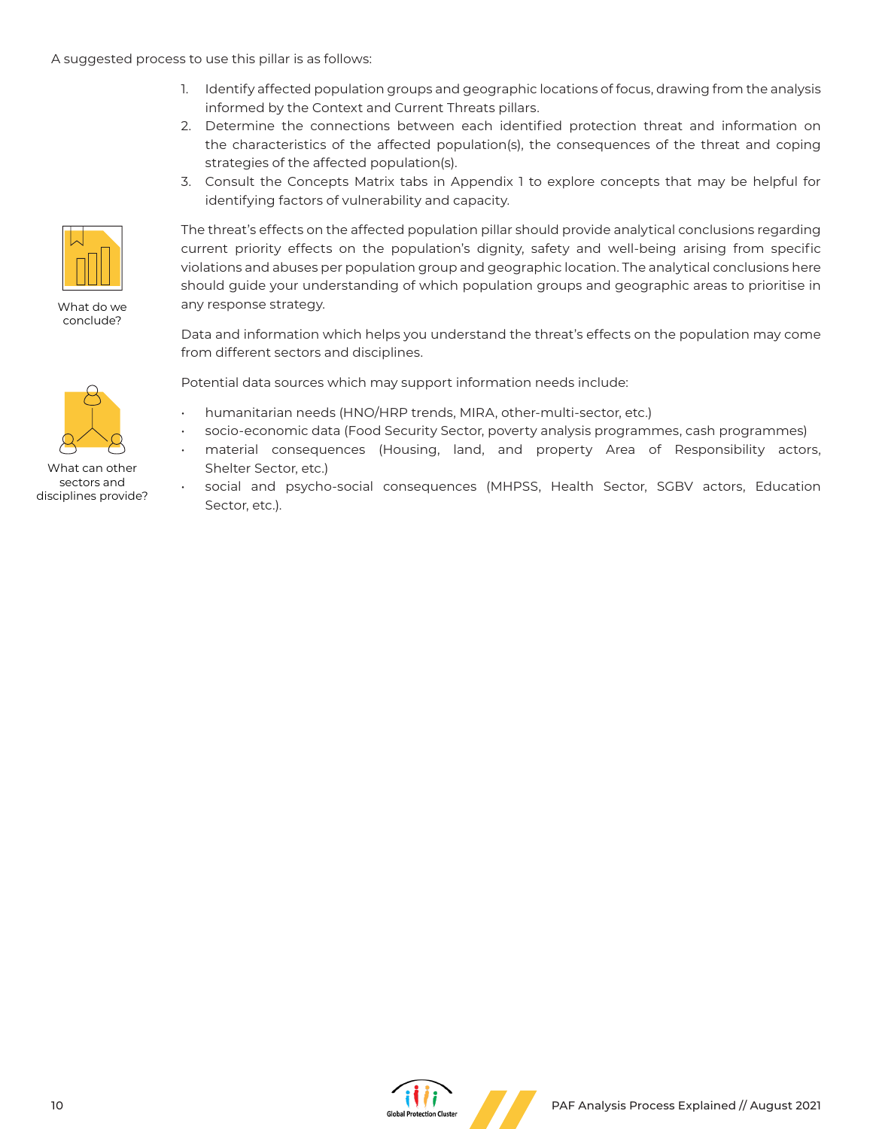#### A suggested process to use this pillar is as follows:

- 1. Identify affected population groups and geographic locations of focus, drawing from the analysis informed by the Context and Current Threats pillars.
- 2. Determine the connections between each identified protection threat and information on the characteristics of the affected population(s), the consequences of the threat and coping strategies of the affected population(s).
- 3. Consult the Concepts Matrix tabs in Appendix 1 to explore concepts that may be helpful for identifying factors of vulnerability and capacity.



What do we conclude?



What can other sectors and disciplines provide?

The threat's effects on the affected population pillar should provide analytical conclusions regarding current priority effects on the population's dignity, safety and well-being arising from specific violations and abuses per population group and geographic location. The analytical conclusions here should guide your understanding of which population groups and geographic areas to prioritise in any response strategy.

Data and information which helps you understand the threat's effects on the population may come from different sectors and disciplines.

Potential data sources which may support information needs include:

- humanitarian needs (HNO/HRP trends, MIRA, other-multi-sector, etc.)
- socio-economic data (Food Security Sector, poverty analysis programmes, cash programmes)
- material consequences (Housing, land, and property Area of Responsibility actors, Shelter Sector, etc.)
- social and psycho-social consequences (MHPSS, Health Sector, SGBV actors, Education Sector, etc.).

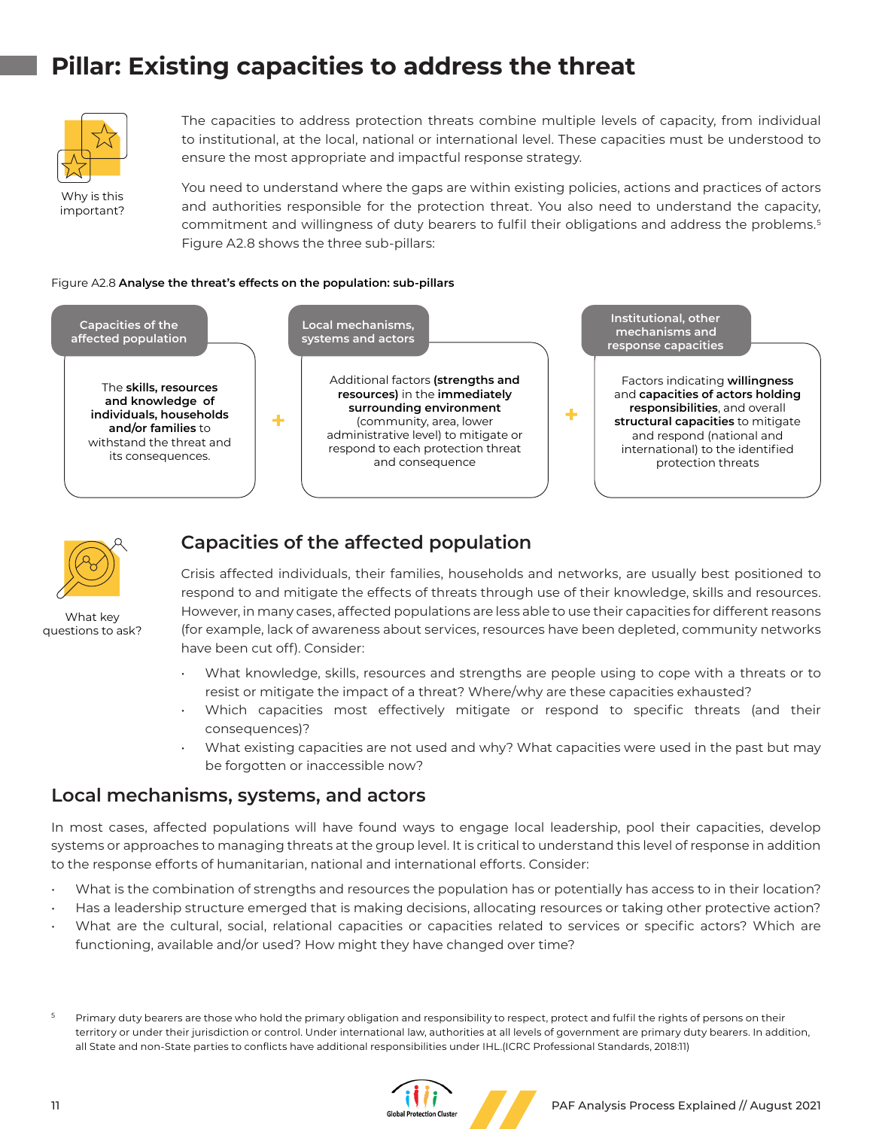# **Pillar: Existing capacities to address the threat**



The capacities to address protection threats combine multiple levels of capacity, from individual to institutional, at the local, national or international level. These capacities must be understood to ensure the most appropriate and impactful response strategy.

Why is this important? You need to understand where the gaps are within existing policies, actions and practices of actors and authorities responsible for the protection threat. You also need to understand the capacity, commitment and willingness of duty bearers to fulfil their obligations and address the problems.5 Figure A2.8 shows the three sub-pillars:

#### Figure A2.8 **Analyse the threat's effects on the population: sub-pillars**





What key questions to ask?

## **Capacities of the affected population**

Crisis affected individuals, their families, households and networks, are usually best positioned to respond to and mitigate the effects of threats through use of their knowledge, skills and resources. However, in many cases, affected populations are less able to use their capacities for different reasons (for example, lack of awareness about services, resources have been depleted, community networks have been cut off). Consider:

- What knowledge, skills, resources and strengths are people using to cope with a threats or to resist or mitigate the impact of a threat? Where/why are these capacities exhausted?
- Which capacities most effectively mitigate or respond to specific threats (and their consequences)?
- What existing capacities are not used and why? What capacities were used in the past but may be forgotten or inaccessible now?

### **Local mechanisms, systems, and actors**

In most cases, affected populations will have found ways to engage local leadership, pool their capacities, develop systems or approaches to managing threats at the group level. It is critical to understand this level of response in addition to the response efforts of humanitarian, national and international efforts. Consider:

- What is the combination of strengths and resources the population has or potentially has access to in their location?
- Has a leadership structure emerged that is making decisions, allocating resources or taking other protective action?
- What are the cultural, social, relational capacities or capacities related to services or specific actors? Which are functioning, available and/or used? How might they have changed over time?

Primary duty bearers are those who hold the primary obligation and responsibility to respect, protect and fulfil the rights of persons on their territory or under their jurisdiction or control. Under international law, authorities at all levels of government are primary duty bearers. In addition, all State and non-State parties to conflicts have additional responsibilities under IHL.(ICRC Professional Standards, 2018:11)

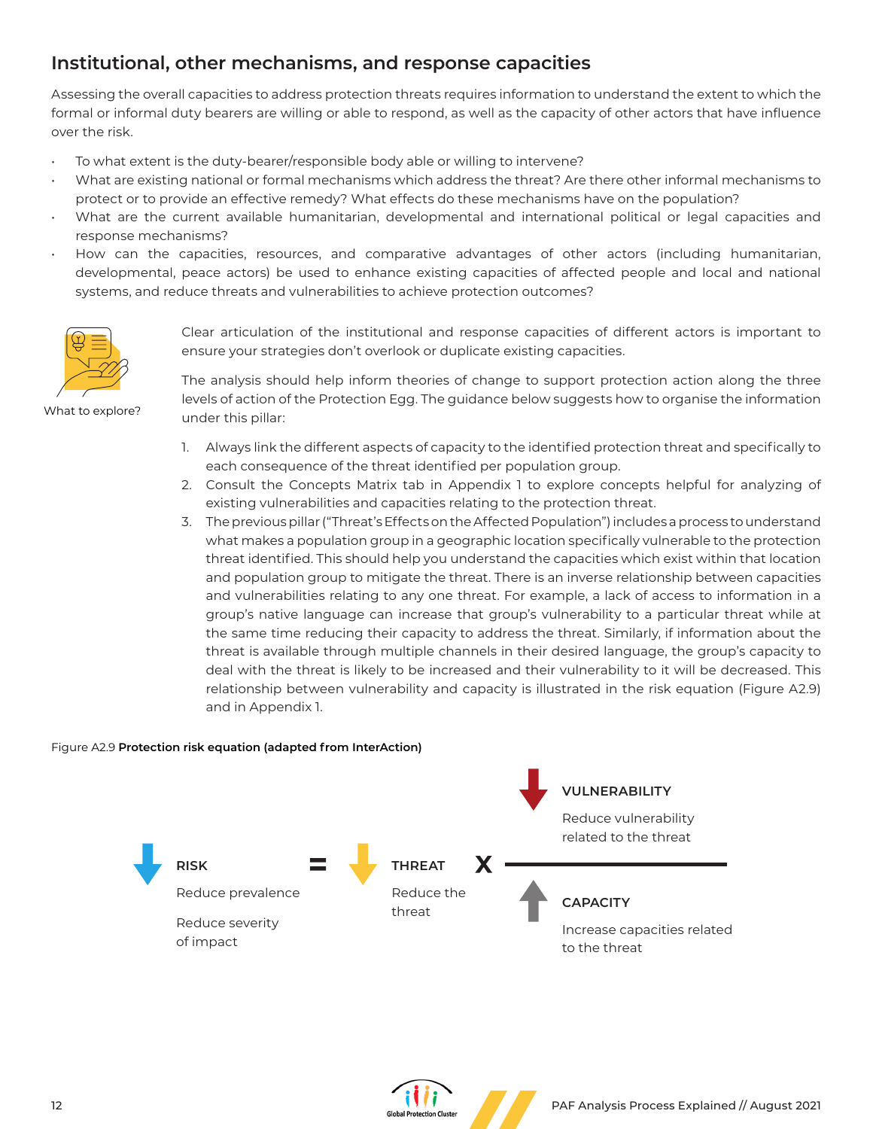## **Institutional, other mechanisms, and response capacities**

Assessing the overall capacities to address protection threats requires information to understand the extent to which the formal or informal duty bearers are willing or able to respond, as well as the capacity of other actors that have influence over the risk.

- To what extent is the duty-bearer/responsible body able or willing to intervene?
- What are existing national or formal mechanisms which address the threat? Are there other informal mechanisms to protect or to provide an effective remedy? What effects do these mechanisms have on the population?
- What are the current available humanitarian, developmental and international political or legal capacities and response mechanisms?
- How can the capacities, resources, and comparative advantages of other actors (including humanitarian, developmental, peace actors) be used to enhance existing capacities of affected people and local and national systems, and reduce threats and vulnerabilities to achieve protection outcomes?



Clear articulation of the institutional and response capacities of different actors is important to ensure your strategies don't overlook or duplicate existing capacities.

What to explore?

The analysis should help inform theories of change to support protection action along the three levels of action of the Protection Egg. The guidance below suggests how to organise the information under this pillar:

- 1. Always link the different aspects of capacity to the identified protection threat and specifically to each consequence of the threat identified per population group.
- 2. Consult the Concepts Matrix tab in Appendix 1 to explore concepts helpful for analyzing of existing vulnerabilities and capacities relating to the protection threat.
- 3. The previous pillar ("Threat's Effects on the Affected Population") includes a process to understand what makes a population group in a geographic location specifically vulnerable to the protection threat identified. This should help you understand the capacities which exist within that location and population group to mitigate the threat. There is an inverse relationship between capacities and vulnerabilities relating to any one threat. For example, a lack of access to information in a group's native language can increase that group's vulnerability to a particular threat while at the same time reducing their capacity to address the threat. Similarly, if information about the threat is available through multiple channels in their desired language, the group's capacity to deal with the threat is likely to be increased and their vulnerability to it will be decreased. This relationship between vulnerability and capacity is illustrated in the risk equation (Figure A2.9) and in Appendix 1.

### Figure A2.9 **Protection risk equation (adapted from InterAction)**



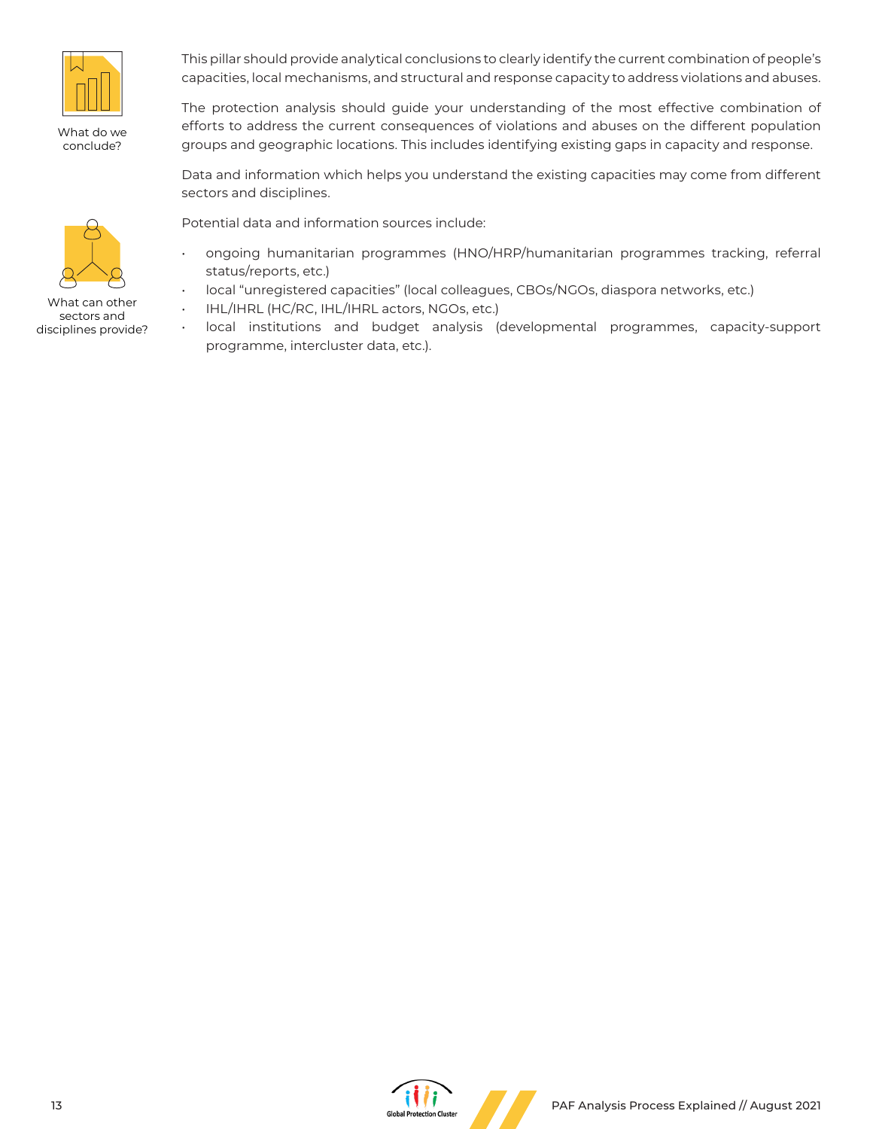

What do we conclude?

This pillar should provide analytical conclusions to clearly identify the current combination of people's capacities, local mechanisms, and structural and response capacity to address violations and abuses.

The protection analysis should guide your understanding of the most effective combination of efforts to address the current consequences of violations and abuses on the different population groups and geographic locations. This includes identifying existing gaps in capacity and response.

Data and information which helps you understand the existing capacities may come from different sectors and disciplines.

Potential data and information sources include:

- ongoing humanitarian programmes (HNO/HRP/humanitarian programmes tracking, referral status/reports, etc.)
- local "unregistered capacities" (local colleagues, CBOs/NGOs, diaspora networks, etc.)
- IHL/IHRL (HC/RC, IHL/IHRL actors, NGOs, etc.)
- local institutions and budget analysis (developmental programmes, capacity-support programme, intercluster data, etc.).



What can other sectors and disciplines provide?

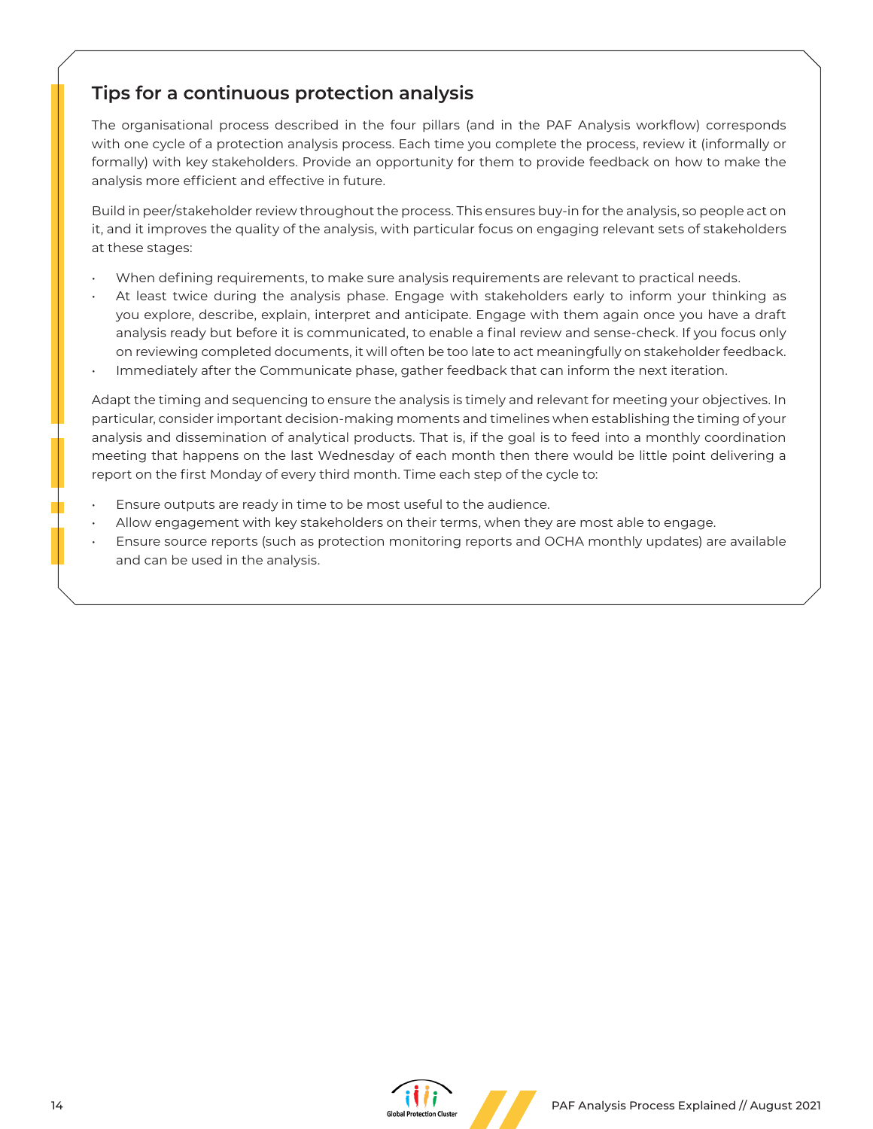## **Tips for a continuous protection analysis**

The organisational process described in the four pillars (and in the PAF Analysis workflow) corresponds with one cycle of a protection analysis process. Each time you complete the process, review it (informally or formally) with key stakeholders. Provide an opportunity for them to provide feedback on how to make the analysis more efficient and effective in future.

Build in peer/stakeholder review throughout the process. This ensures buy-in for the analysis, so people act on it, and it improves the quality of the analysis, with particular focus on engaging relevant sets of stakeholders at these stages:

- When defining requirements, to make sure analysis requirements are relevant to practical needs.
- At least twice during the analysis phase. Engage with stakeholders early to inform your thinking as you explore, describe, explain, interpret and anticipate. Engage with them again once you have a draft analysis ready but before it is communicated, to enable a final review and sense-check. If you focus only on reviewing completed documents, it will often be too late to act meaningfully on stakeholder feedback.
- Immediately after the Communicate phase, gather feedback that can inform the next iteration.

Adapt the timing and sequencing to ensure the analysis is timely and relevant for meeting your objectives. In particular, consider important decision-making moments and timelines when establishing the timing of your analysis and dissemination of analytical products. That is, if the goal is to feed into a monthly coordination meeting that happens on the last Wednesday of each month then there would be little point delivering a report on the first Monday of every third month. Time each step of the cycle to:

- Ensure outputs are ready in time to be most useful to the audience.
- Allow engagement with key stakeholders on their terms, when they are most able to engage.
- Ensure source reports (such as protection monitoring reports and OCHA monthly updates) are available and can be used in the analysis.

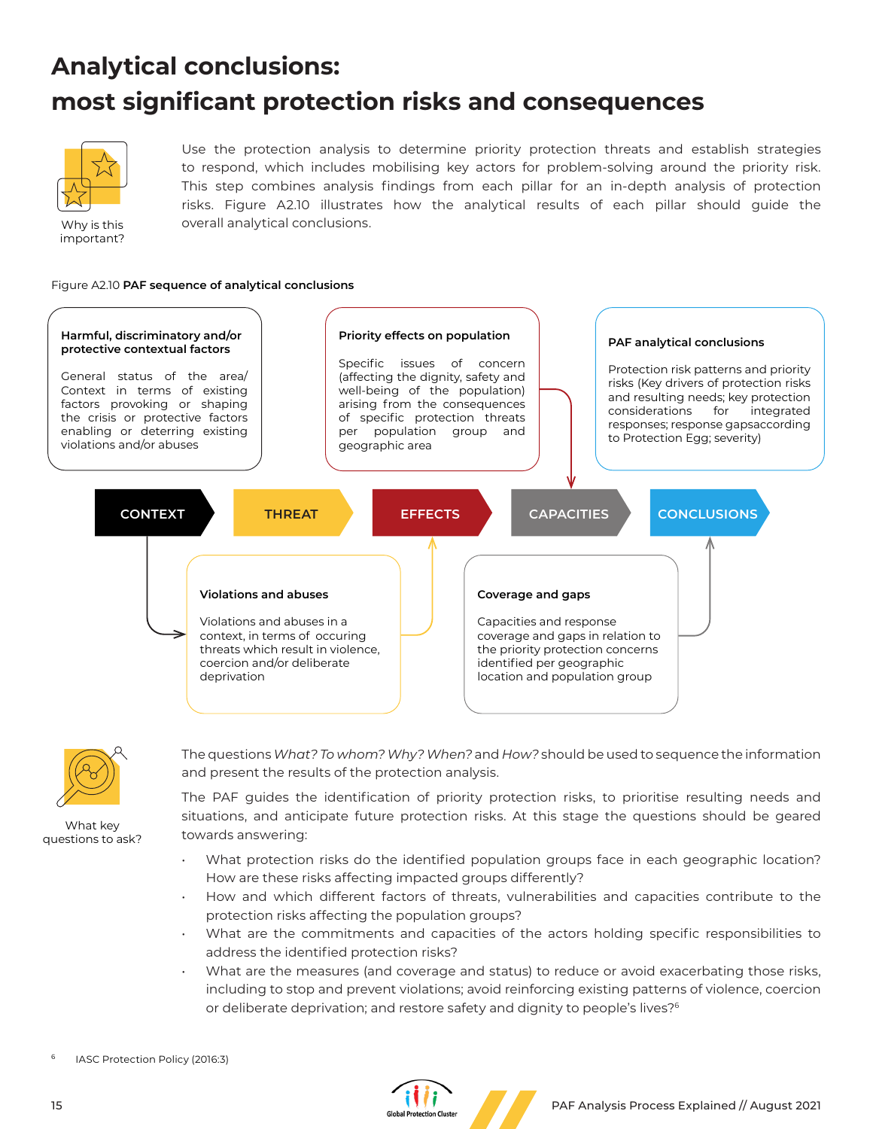# **Analytical conclusions: most significant protection risks and consequences**



Why is this important?

Use the protection analysis to determine priority protection threats and establish strategies to respond, which includes mobilising key actors for problem-solving around the priority risk. This step combines analysis findings from each pillar for an in-depth analysis of protection risks. Figure A2.10 illustrates how the analytical results of each pillar should guide the overall analytical conclusions.

Figure A2.10 **PAF sequence of analytical conclusions**





What key questions to ask? The questions *What? To whom? Why? When?* and *How?* should be used to sequence the information and present the results of the protection analysis.

The PAF guides the identification of priority protection risks, to prioritise resulting needs and situations, and anticipate future protection risks. At this stage the questions should be geared towards answering:

- What protection risks do the identified population groups face in each geographic location? How are these risks affecting impacted groups differently?
- How and which different factors of threats, vulnerabilities and capacities contribute to the protection risks affecting the population groups?
- What are the commitments and capacities of the actors holding specific responsibilities to address the identified protection risks?
- What are the measures (and coverage and status) to reduce or avoid exacerbating those risks, including to stop and prevent violations; avoid reinforcing existing patterns of violence, coercion or deliberate deprivation; and restore safety and dignity to people's lives?6